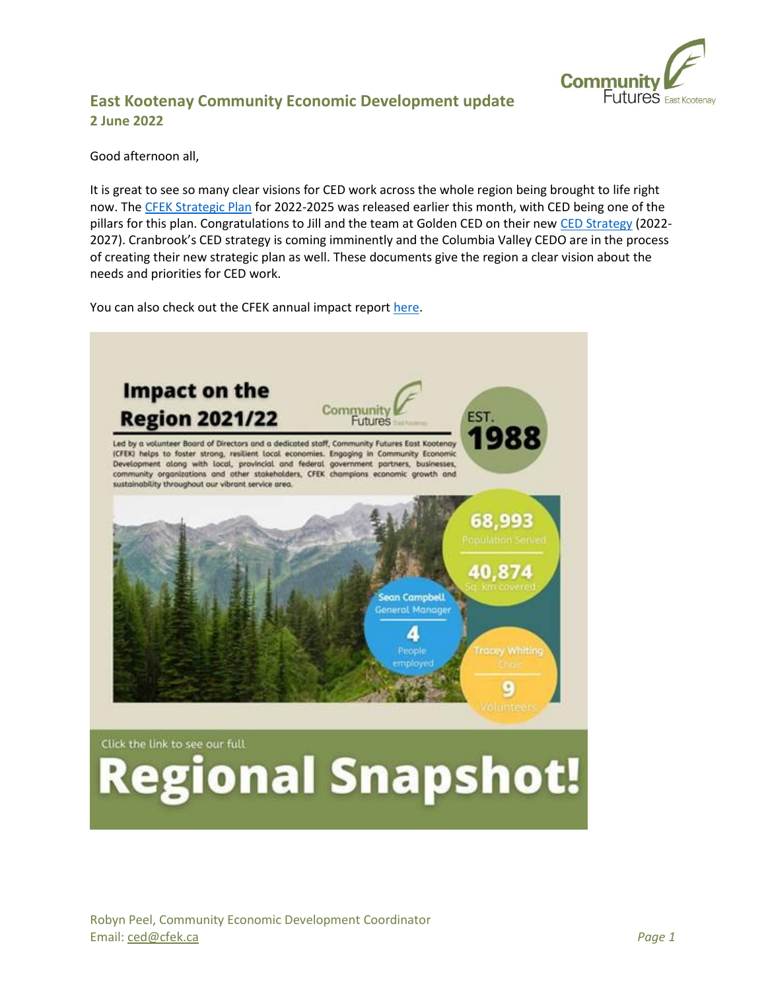

# **East Kootenay Community Economic Development update 2 June 2022**

#### Good afternoon all,

It is great to see so many clear visions for CED work across the whole region being brought to life right now. The [CFEK Strategic Plan](https://www.cfek.ca/wp-content/uploads/2022/04/minStrategic-Plan-7.pdf) for 2022-2025 was released earlier this month, with CED being one of the pillars for this plan. Congratulations to Jill and the team at Golden CED on their new [CED Strategy](https://goldenced.ca/wp-content/uploads/2022/05/ced-strategy-2022-2027.pdf) (2022- 2027). Cranbrook's CED strategy is coming imminently and the Columbia Valley CEDO are in the process of creating their new strategic plan as well. These documents give the region a clear vision about the needs and priorities for CED work.

You can also check out the CFEK annual impact repor[t here.](https://www.cfek.ca/wp-content/uploads/2022/05/22-Regional-Snapshot-PDF.pdf)

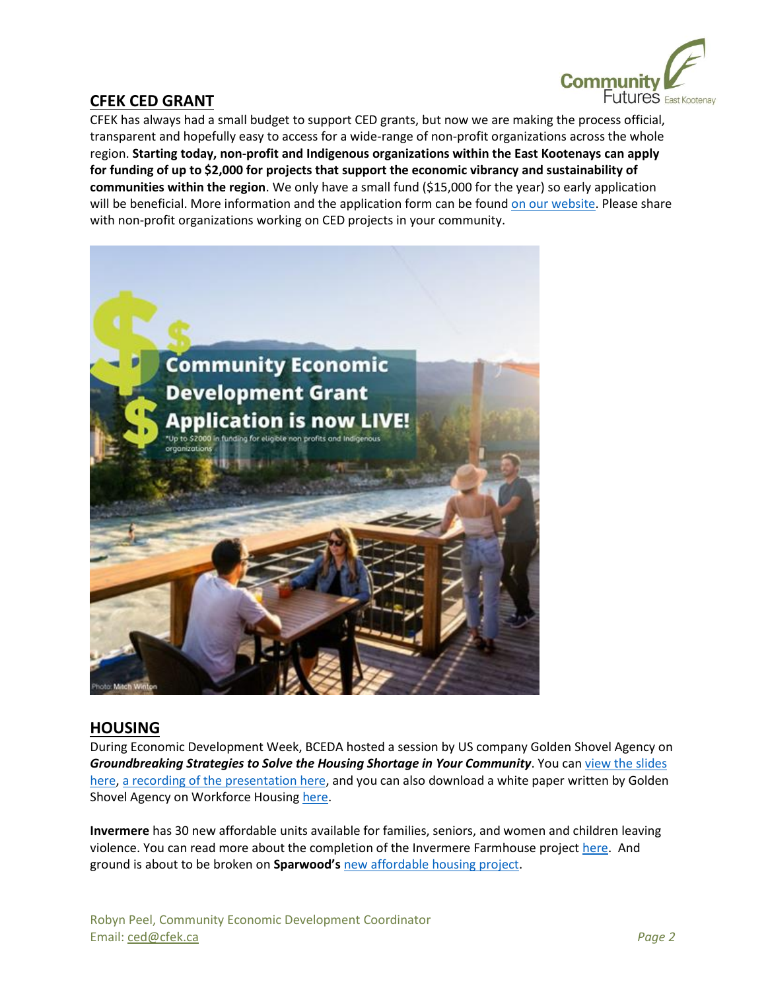

## **CFEK CED GRANT**

CFEK has always had a small budget to support CED grants, but now we are making the process official, transparent and hopefully easy to access for a wide-range of non-profit organizations across the whole region. **Starting today, non-profit and Indigenous organizations within the East Kootenays can apply for funding of up to \$2,000 for projects that support the economic vibrancy and sustainability of communities within the region**. We only have a small fund (\$15,000 for the year) so early application will be beneficial. More information and the application form can be found [on our website.](https://www.cfek.ca/economic-development/) Please share with non-profit organizations working on CED projects in your community.



### **HOUSING**

During Economic Development Week, BCEDA hosted a session by US company Golden Shovel Agency on *Groundbreaking Strategies to Solve the Housing Shortage in Your Community*. You ca[n view the slides](https://3379625.fs1.hubspotusercontent-na1.net/hubfs/3379625/Housing%20Webinar.pdf)  [here,](https://3379625.fs1.hubspotusercontent-na1.net/hubfs/3379625/Housing%20Webinar.pdf) [a recording of the presentation here,](https://bceda-my.sharepoint.com/:f:/g/personal/dwheeldon_bceda_ca/EsYChE3j3eNGoJC6ieaYn-YB6pmg6pK47ug-wZLS5TXrIg?e=75PteU) and you can also download a white paper written by Golden Shovel Agency on Workforce Housing [here.](https://www.goldenshovelagency.com/resource-learning-center/downloadable-ebooks/housing-shortages)

**Invermere** has 30 new affordable units available for families, seniors, and women and children leaving violence. You can read more about the completion of the Invermere Farmhouse projec[t here.](https://news.gov.bc.ca/releases/2022AG0079-000813) And ground is about to be broken on **Sparwood's** [new affordable housing project.](https://www.thefreepress.ca/news/new-housing-for-sparwood-on-the-way/)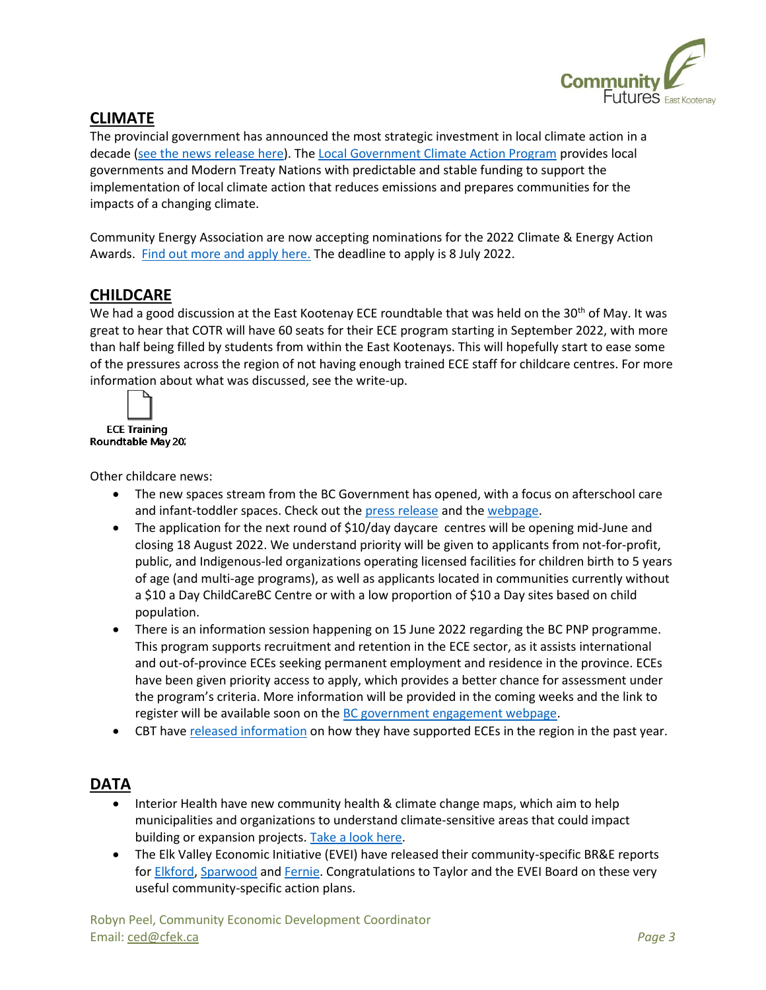

# **CLIMATE**

The provincial government has announced the most strategic investment in local climate action in a decade [\(see the news release here\)](https://news.gov.bc.ca/releases/2022ENV0028-000761). Th[e Local Government Climate Action Program](https://www2.gov.bc.ca/gov/content/environment/climate-change/local-governments/local-government-climate-action-program) provides local governments and Modern Treaty Nations with predictable and stable funding to support the implementation of local climate action that reduces emissions and prepares communities for the impacts of a changing climate.

Community Energy Association are now accepting nominations for the 2022 Climate & Energy Action Awards. [Find out more and apply here.](https://www.communityenergy.ca/awards/) The deadline to apply is 8 July 2022.

## **CHILDCARE**

We had a good discussion at the East Kootenay ECE roundtable that was held on the 30<sup>th</sup> of May. It was great to hear that COTR will have 60 seats for their ECE program starting in September 2022, with more than half being filled by students from within the East Kootenays. This will hopefully start to ease some of the pressures across the region of not having enough trained ECE staff for childcare centres. For more information about what was discussed, see the write-up.



Other childcare news:

- The new spaces stream from the BC Government has opened, with a focus on afterschool care and infant-toddler spaces. Check out the [press release](https://news.gov.bc.ca/releases/2022ECC0039-000859) and th[e webpage.](https://www2.gov.bc.ca/gov/content/family-social-supports/caring-for-young-children/space-creation-funding/childcare-new-spaces-fund)
- The application for the next round of \$10/day daycare centres will be opening mid-June and closing 18 August 2022. We understand priority will be given to applicants from not-for-profit, public, and Indigenous-led organizations operating licensed facilities for children birth to 5 years of age (and multi-age programs), as well as applicants located in communities currently without a \$10 a Day ChildCareBC Centre or with a low proportion of \$10 a Day sites based on child population.
- There is an information session happening on 15 June 2022 regarding the BC PNP programme. This program supports recruitment and retention in the ECE sector, as it assists international and out-of-province ECEs seeking permanent employment and residence in the province. ECEs have been given priority access to apply, which provides a better chance for assessment under the program's criteria. More information will be provided in the coming weeks and the link to register will be available soon on the [BC government engagement webpage.](https://www2.gov.bc.ca/gov/content/family-social-supports/caring-for-young-children/childcarebc-engagement)
- CBT hav[e released information](https://ourtrust.org/child-care-improvements-across-the-basin/) on how they have supported ECEs in the region in the past year.

### **DATA**

- Interior Health have new community health & climate change maps, which aim to help municipalities and organizations to understand climate-sensitive areas that could impact building or expansion projects. [Take a look here.](https://www.interiorhealth.ca/about-ih/community-partners/climate-resiliency-and-planning)
- The Elk Valley Economic Initiative (EVEI) have released their community-specific BR&E reports fo[r Elkford,](https://theelkvalley.ca/wp-content/uploads/2022/05/Elkford-BRE-Report-2021.pdf) [Sparwood](https://theelkvalley.ca/wp-content/uploads/2022/05/Sparwood-BRE-Report-2022.pdf) an[d Fernie.](https://theelkvalley.ca/wp-content/uploads/2022/05/Fernie-BRE-Report-2022.pdf) Congratulations to Taylor and the EVEI Board on these very useful community-specific action plans.

Robyn Peel, Community Economic Development Coordinator Email: [ced@cfek.ca](mailto:ced@cfek.ca) *Page 3*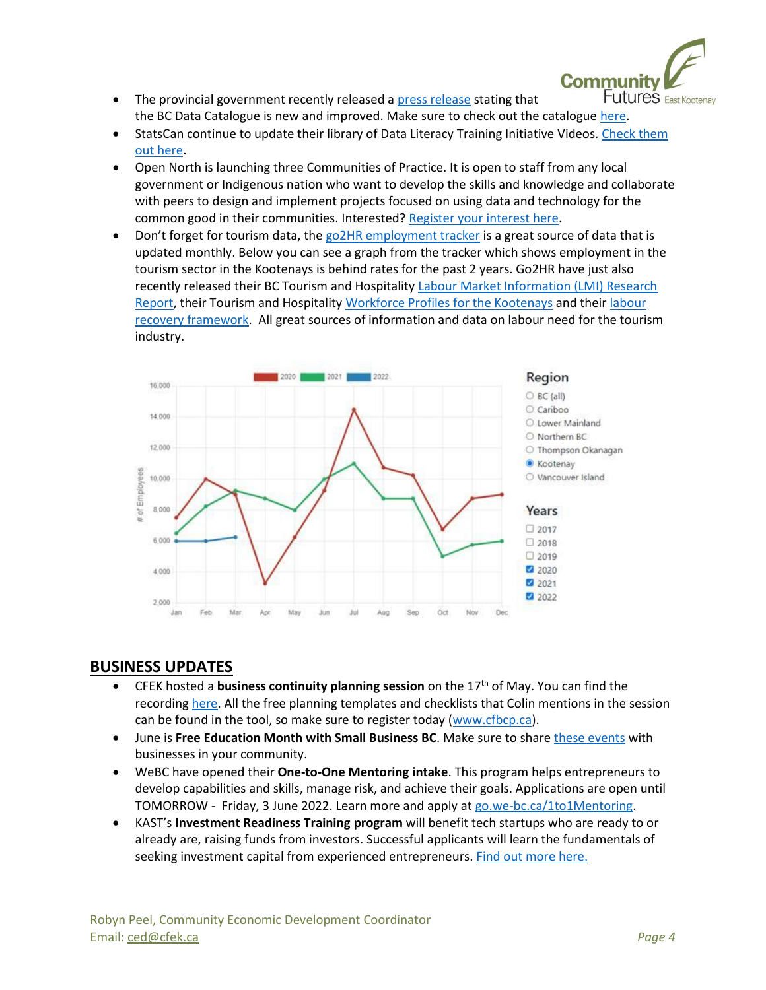

- The provincial government recently released a [press release](https://news.gov.bc.ca/releases/2022CITZ0014-000758) stating that the BC Data Catalogue is new and improved. Make sure to check out the catalogue [here.](https://catalogue.data.gov.bc.ca/)
- StatsCan continue to update their library of Data Literacy Training Initiative Videos. [Check them](https://www.statcan.gc.ca/en/wtc/data-literacy/catalogue)  [out here.](https://www.statcan.gc.ca/en/wtc/data-literacy/catalogue)
- Open North is launching three Communities of Practice. It is open to staff from any local government or Indigenous nation who want to develop the skills and knowledge and collaborate with peers to design and implement projects focused on using data and technology for the common good in their communities. Interested? [Register your interest here.](https://docs.google.com/forms/d/e/1FAIpQLSf0PY-VednVuQn3m6qYYdKxCMC00QfU47AwKcvIZKpnKXAoEA/viewform)
- Don't forget for tourism data, the [go2HR employment tracker](https://www.go2hr.ca/bc-tourism-and-hospitality-labour-market-information-employment-tracker) is a great source of data that is updated monthly. Below you can see a graph from the tracker which shows employment in the tourism sector in the Kootenays is behind rates for the past 2 years. Go2HR have just also recently released their BC Tourism and Hospitality [Labour Market Information \(LMI\) Research](https://go2hr.ca/wp-content/uploads/2022/05/Final-LMI-Report-March-29-2022.pdf)  [Report,](https://go2hr.ca/wp-content/uploads/2022/05/Final-LMI-Report-March-29-2022.pdf) their Tourism and Hospitality [Workforce Profiles for the Kootenays](https://www.go2hr.ca/wp-content/uploads/2022/04/FINAL-WORKFORCE-PROFILE-KOOTENAY.pdf) and thei[r labour](https://www.go2hr.ca/wp-content/uploads/2022/02/BC-LRF-Overview-EXTERNAL-FINAL.pdf)  [recovery framework.](https://www.go2hr.ca/wp-content/uploads/2022/02/BC-LRF-Overview-EXTERNAL-FINAL.pdf) All great sources of information and data on labour need for the tourism industry.



## **BUSINESS UPDATES**

- CFEK hosted a **business continuity planning session** on the 17th of May. You can find the recordin[g here.](https://youtu.be/ruvk9OvOAD4) All the free planning templates and checklists that Colin mentions in the session can be found in the tool, so make sure to register today [\(www.cfbcp.ca\)](http://www.cfbcp.ca/).
- June is **Free Education Month with Small Business BC**. Make sure to share [these events](https://smallbusinessbc.ca/article/june-2022-is-free-education-month/) with businesses in your community.
- WeBC have opened their **One-to-One Mentoring intake**. This program helps entrepreneurs to develop capabilities and skills, manage risk, and achieve their goals. Applications are open until TOMORROW - Friday, 3 June 2022. Learn more and apply at [go.we-bc.ca/1to1Mentoring.](http://go.we-bc.ca/1to1Mentoring)
- KAST's **Investment Readiness Training program** will benefit tech startups who are ready to or already are, raising funds from investors. Successful applicants will learn the fundamentals of seeking investment capital from experienced entrepreneurs. [Find out more here.](https://kast.com/programs/investment-readiness-training/)